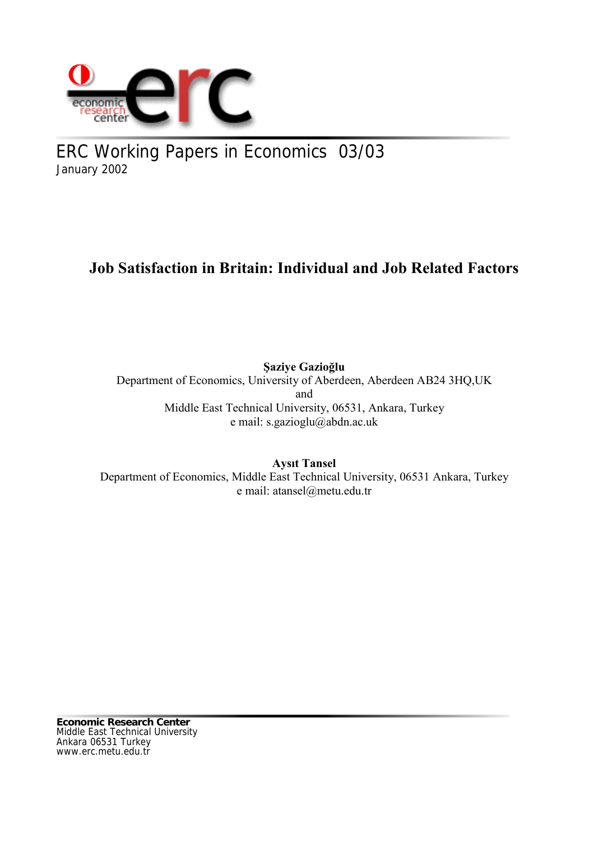

ERC Working Papers in Economics 03/03 January 2002

# **Job Satisfaction in Britain: Individual and Job Related Factors**

**Şaziye Gazioğlu** Department of Economics, University of Aberdeen, Aberdeen AB24 3HQ,UK and Middle East Technical University, 06531, Ankara, Turkey e mail: s.gazioglu@abdn.ac.uk

**Aysıt Tansel** Department of Economics, Middle East Technical University, 06531 Ankara, Turkey e mail: atansel@metu.edu.tr

**Economic Research Center** Middle East Technical University Ankara 06531 Turkey www.erc.metu.edu.tr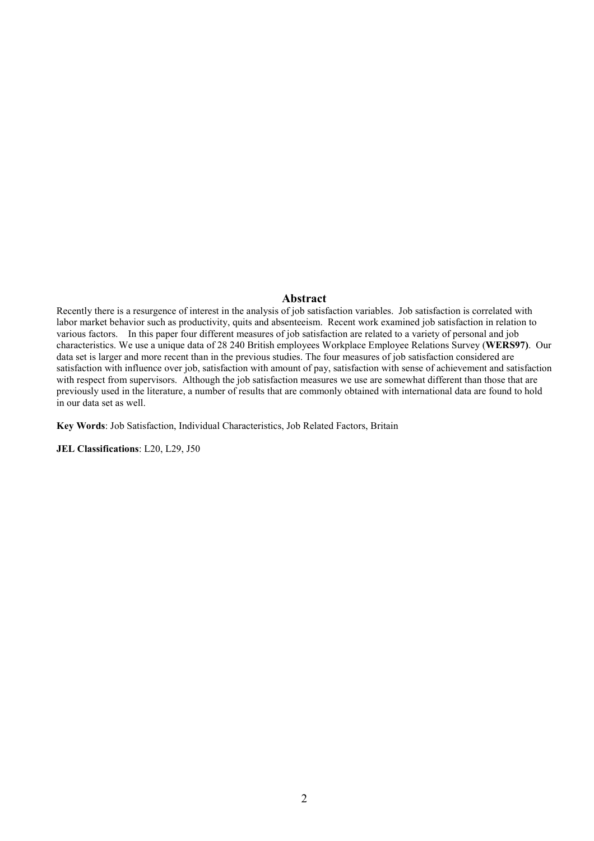#### **Abstract**

Recently there is a resurgence of interest in the analysis of job satisfaction variables. Job satisfaction is correlated with labor market behavior such as productivity, quits and absenteeism. Recent work examined job satisfaction in relation to various factors. In this paper four different measures of job satisfaction are related to a variety of personal and job characteristics. We use a unique data of 28 240 British employees Workplace Employee Relations Survey (**WERS97)**. Our data set is larger and more recent than in the previous studies. The four measures of job satisfaction considered are satisfaction with influence over job, satisfaction with amount of pay, satisfaction with sense of achievement and satisfaction with respect from supervisors. Although the job satisfaction measures we use are somewhat different than those that are previously used in the literature, a number of results that are commonly obtained with international data are found to hold in our data set as well.

**Key Words**: Job Satisfaction, Individual Characteristics, Job Related Factors, Britain

**JEL Classifications**: L20, L29, J50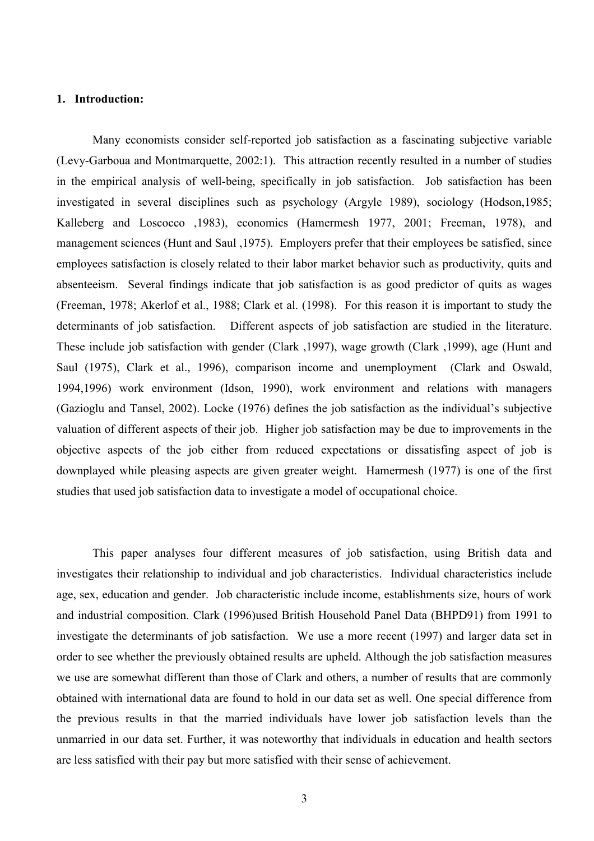### **1. Introduction:**

Many economists consider self-reported job satisfaction as a fascinating subjective variable (Levy-Garboua and Montmarquette, 2002:1). This attraction recently resulted in a number of studies in the empirical analysis of well-being, specifically in job satisfaction. Job satisfaction has been investigated in several disciplines such as psychology (Argyle 1989), sociology (Hodson,1985; Kalleberg and Loscocco ,1983), economics (Hamermesh 1977, 2001; Freeman, 1978), and management sciences (Hunt and Saul ,1975). Employers prefer that their employees be satisfied, since employees satisfaction is closely related to their labor market behavior such as productivity, quits and absenteeism. Several findings indicate that job satisfaction is as good predictor of quits as wages (Freeman, 1978; Akerlof et al., 1988; Clark et al. (1998). For this reason it is important to study the determinants of job satisfaction. Different aspects of job satisfaction are studied in the literature. These include job satisfaction with gender (Clark ,1997), wage growth (Clark ,1999), age (Hunt and Saul (1975), Clark et al., 1996), comparison income and unemployment (Clark and Oswald, 1994,1996) work environment (Idson, 1990), work environment and relations with managers (Gazioglu and Tansel, 2002). Locke (1976) defines the job satisfaction as the individual's subjective valuation of different aspects of their job. Higher job satisfaction may be due to improvements in the objective aspects of the job either from reduced expectations or dissatisfing aspect of job is downplayed while pleasing aspects are given greater weight. Hamermesh (1977) is one of the first studies that used job satisfaction data to investigate a model of occupational choice.

This paper analyses four different measures of job satisfaction, using British data and investigates their relationship to individual and job characteristics. Individual characteristics include age, sex, education and gender. Job characteristic include income, establishments size, hours of work and industrial composition. Clark (1996)used British Household Panel Data (BHPD91) from 1991 to investigate the determinants of job satisfaction. We use a more recent (1997) and larger data set in order to see whether the previously obtained results are upheld. Although the job satisfaction measures we use are somewhat different than those of Clark and others, a number of results that are commonly obtained with international data are found to hold in our data set as well. One special difference from the previous results in that the married individuals have lower job satisfaction levels than the unmarried in our data set. Further, it was noteworthy that individuals in education and health sectors are less satisfied with their pay but more satisfied with their sense of achievement.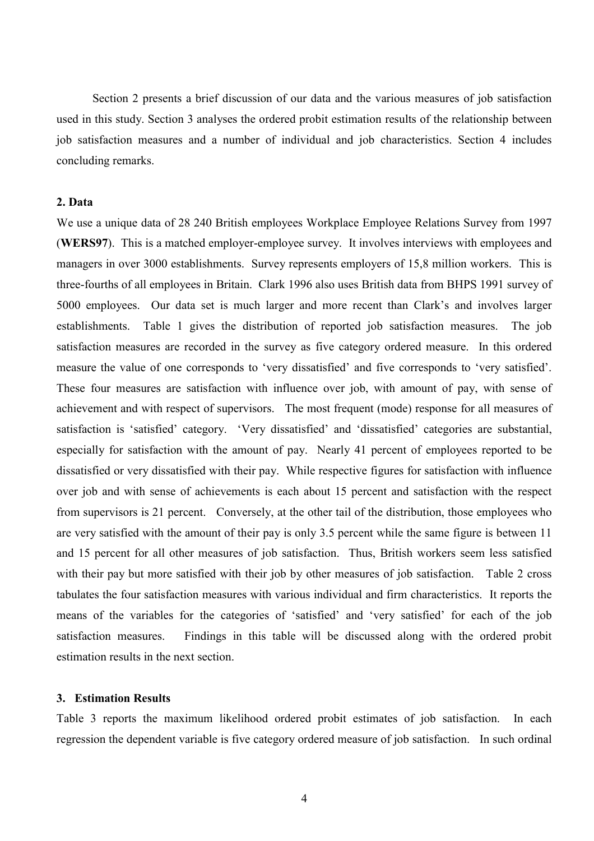Section 2 presents a brief discussion of our data and the various measures of job satisfaction used in this study. Section 3 analyses the ordered probit estimation results of the relationship between job satisfaction measures and a number of individual and job characteristics. Section 4 includes concluding remarks.

### **2. Data**

We use a unique data of 28 240 British employees Workplace Employee Relations Survey from 1997 (**WERS97**). This is a matched employer-employee survey. It involves interviews with employees and managers in over 3000 establishments. Survey represents employers of 15,8 million workers. This is three-fourths of all employees in Britain. Clark 1996 also uses British data from BHPS 1991 survey of 5000 employees. Our data set is much larger and more recent than Clark's and involves larger establishments.Table 1 gives the distribution of reported job satisfaction measures. The job satisfaction measures are recorded in the survey as five category ordered measure. In this ordered measure the value of one corresponds to 'very dissatisfied' and five corresponds to 'very satisfied'. These four measures are satisfaction with influence over job, with amount of pay, with sense of achievement and with respect of supervisors. The most frequent (mode) response for all measures of satisfaction is 'satisfied' category. 'Very dissatisfied' and 'dissatisfied' categories are substantial, especially for satisfaction with the amount of pay. Nearly 41 percent of employees reported to be dissatisfied or very dissatisfied with their pay. While respective figures for satisfaction with influence over job and with sense of achievements is each about 15 percent and satisfaction with the respect from supervisors is 21 percent. Conversely, at the other tail of the distribution, those employees who are very satisfied with the amount of their pay is only 3.5 percent while the same figure is between 11 and 15 percent for all other measures of job satisfaction. Thus, British workers seem less satisfied with their pay but more satisfied with their job by other measures of job satisfaction. Table 2 cross tabulates the four satisfaction measures with various individual and firm characteristics. It reports the means of the variables for the categories of 'satisfied' and 'very satisfied' for each of the job satisfaction measures. Findings in this table will be discussed along with the ordered probit estimation results in the next section.

### **3. Estimation Results**

Table 3 reports the maximum likelihood ordered probit estimates of job satisfaction. In each regression the dependent variable is five category ordered measure of job satisfaction. In such ordinal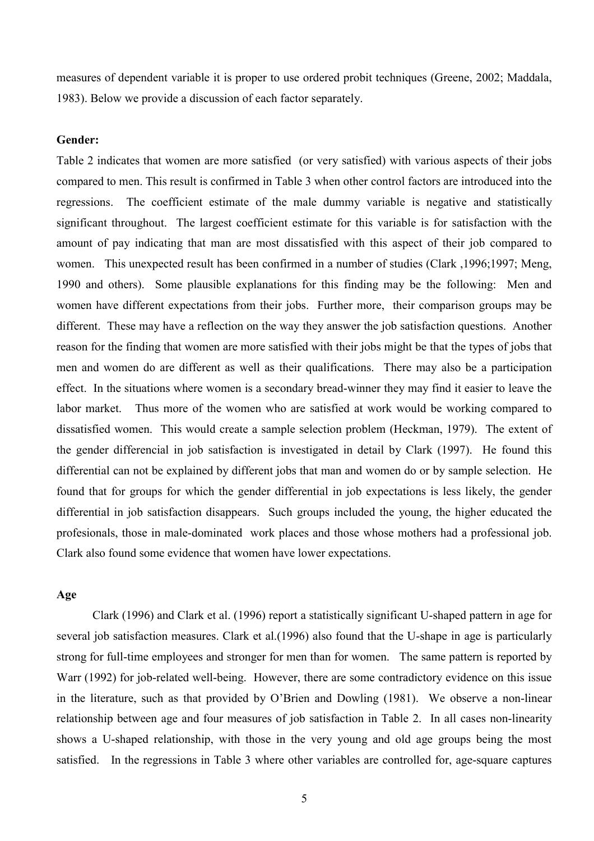measures of dependent variable it is proper to use ordered probit techniques (Greene, 2002; Maddala, 1983). Below we provide a discussion of each factor separately.

### **Gender:**

Table 2 indicates that women are more satisfied (or very satisfied) with various aspects of their jobs compared to men. This result is confirmed in Table 3 when other control factors are introduced into the regressions. The coefficient estimate of the male dummy variable is negative and statistically significant throughout. The largest coefficient estimate for this variable is for satisfaction with the amount of pay indicating that man are most dissatisfied with this aspect of their job compared to women. This unexpected result has been confirmed in a number of studies (Clark ,1996;1997; Meng, 1990 and others). Some plausible explanations for this finding may be the following: Men and women have different expectations from their jobs. Further more, their comparison groups may be different. These may have a reflection on the way they answer the job satisfaction questions. Another reason for the finding that women are more satisfied with their jobs might be that the types of jobs that men and women do are different as well as their qualifications. There may also be a participation effect. In the situations where women is a secondary bread-winner they may find it easier to leave the labor market. Thus more of the women who are satisfied at work would be working compared to dissatisfied women. This would create a sample selection problem (Heckman, 1979). The extent of the gender differencial in job satisfaction is investigated in detail by Clark (1997). He found this differential can not be explained by different jobs that man and women do or by sample selection. He found that for groups for which the gender differential in job expectations is less likely, the gender differential in job satisfaction disappears. Such groups included the young, the higher educated the profesionals, those in male-dominated work places and those whose mothers had a professional job. Clark also found some evidence that women have lower expectations.

### **Age**

Clark (1996) and Clark et al. (1996) report a statistically significant U-shaped pattern in age for several job satisfaction measures. Clark et al.(1996) also found that the U-shape in age is particularly strong for full-time employees and stronger for men than for women. The same pattern is reported by Warr (1992) for job-related well-being. However, there are some contradictory evidence on this issue in the literature, such as that provided by O'Brien and Dowling (1981). We observe a non-linear relationship between age and four measures of job satisfaction in Table 2. In all cases non-linearity shows a U-shaped relationship, with those in the very young and old age groups being the most satisfied. In the regressions in Table 3 where other variables are controlled for, age-square captures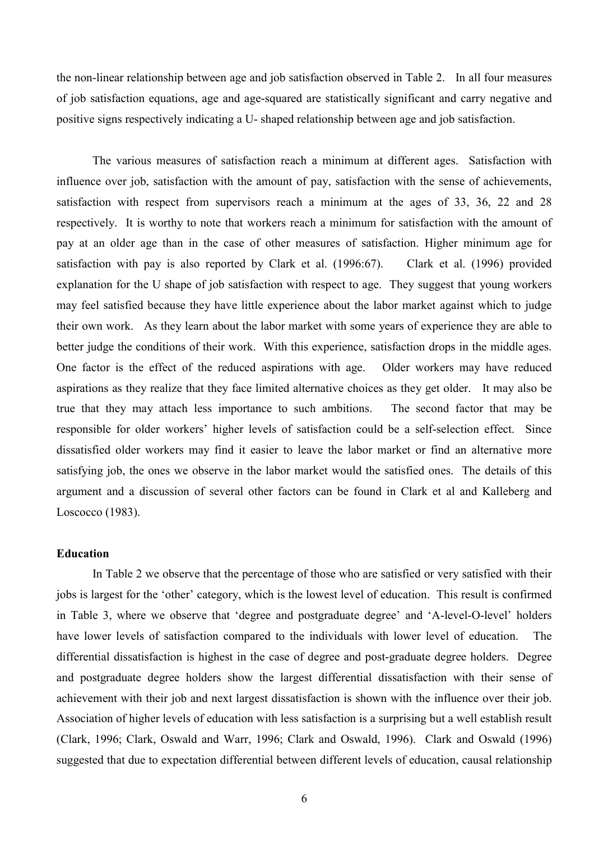the non-linear relationship between age and job satisfaction observed in Table 2. In all four measures of job satisfaction equations, age and age-squared are statistically significant and carry negative and positive signs respectively indicating a U- shaped relationship between age and job satisfaction.

The various measures of satisfaction reach a minimum at different ages. Satisfaction with influence over job, satisfaction with the amount of pay, satisfaction with the sense of achievements, satisfaction with respect from supervisors reach a minimum at the ages of 33, 36, 22 and 28 respectively. It is worthy to note that workers reach a minimum for satisfaction with the amount of pay at an older age than in the case of other measures of satisfaction. Higher minimum age for satisfaction with pay is also reported by Clark et al. (1996:67). Clark et al. (1996) provided explanation for the U shape of job satisfaction with respect to age. They suggest that young workers may feel satisfied because they have little experience about the labor market against which to judge their own work. As they learn about the labor market with some years of experience they are able to better judge the conditions of their work. With this experience, satisfaction drops in the middle ages. One factor is the effect of the reduced aspirations with age. Older workers may have reduced aspirations as they realize that they face limited alternative choices as they get older. It may also be true that they may attach less importance to such ambitions. The second factor that may be responsible for older workers' higher levels of satisfaction could be a self-selection effect. Since dissatisfied older workers may find it easier to leave the labor market or find an alternative more satisfying job, the ones we observe in the labor market would the satisfied ones. The details of this argument and a discussion of several other factors can be found in Clark et al and Kalleberg and Loscocco (1983).

### **Education**

In Table 2 we observe that the percentage of those who are satisfied or very satisfied with their jobs is largest for the 'other' category, which is the lowest level of education. This result is confirmed in Table 3, where we observe that 'degree and postgraduate degree' and 'A-level-O-level' holders have lower levels of satisfaction compared to the individuals with lower level of education. The differential dissatisfaction is highest in the case of degree and post-graduate degree holders. Degree and postgraduate degree holders show the largest differential dissatisfaction with their sense of achievement with their job and next largest dissatisfaction is shown with the influence over their job. Association of higher levels of education with less satisfaction is a surprising but a well establish result (Clark, 1996; Clark, Oswald and Warr, 1996; Clark and Oswald, 1996). Clark and Oswald (1996) suggested that due to expectation differential between different levels of education, causal relationship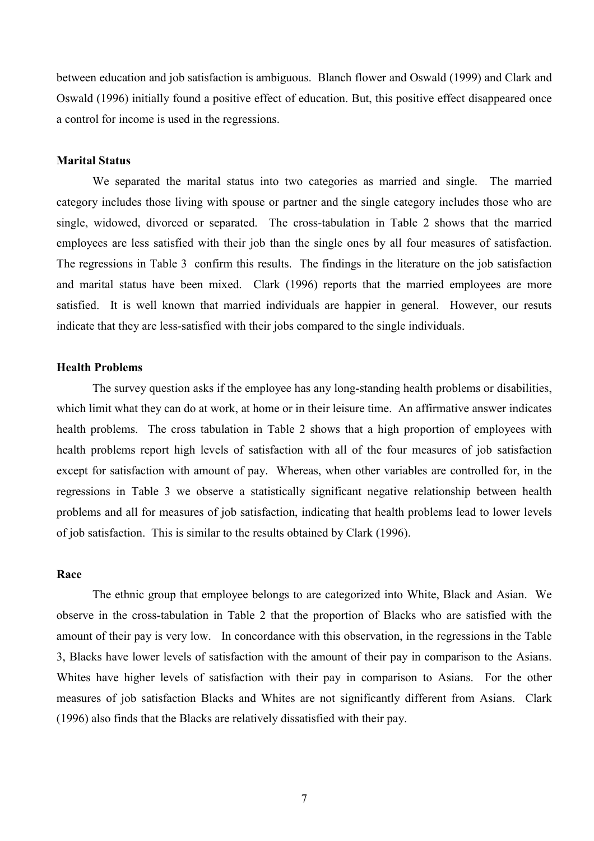between education and job satisfaction is ambiguous. Blanch flower and Oswald (1999) and Clark and Oswald (1996) initially found a positive effect of education. But, this positive effect disappeared once a control for income is used in the regressions.

### **Marital Status**

We separated the marital status into two categories as married and single. The married category includes those living with spouse or partner and the single category includes those who are single, widowed, divorced or separated. The cross-tabulation in Table 2 shows that the married employees are less satisfied with their job than the single ones by all four measures of satisfaction. The regressions in Table 3 confirm this results. The findings in the literature on the job satisfaction and marital status have been mixed. Clark (1996) reports that the married employees are more satisfied. It is well known that married individuals are happier in general. However, our resuts indicate that they are less-satisfied with their jobs compared to the single individuals.

### **Health Problems**

The survey question asks if the employee has any long-standing health problems or disabilities, which limit what they can do at work, at home or in their leisure time. An affirmative answer indicates health problems. The cross tabulation in Table 2 shows that a high proportion of employees with health problems report high levels of satisfaction with all of the four measures of job satisfaction except for satisfaction with amount of pay. Whereas, when other variables are controlled for, in the regressions in Table 3 we observe a statistically significant negative relationship between health problems and all for measures of job satisfaction, indicating that health problems lead to lower levels of job satisfaction. This is similar to the results obtained by Clark (1996).

### **Race**

The ethnic group that employee belongs to are categorized into White, Black and Asian. We observe in the cross-tabulation in Table 2 that the proportion of Blacks who are satisfied with the amount of their pay is very low. In concordance with this observation, in the regressions in the Table 3, Blacks have lower levels of satisfaction with the amount of their pay in comparison to the Asians. Whites have higher levels of satisfaction with their pay in comparison to Asians. For the other measures of job satisfaction Blacks and Whites are not significantly different from Asians. Clark (1996) also finds that the Blacks are relatively dissatisfied with their pay.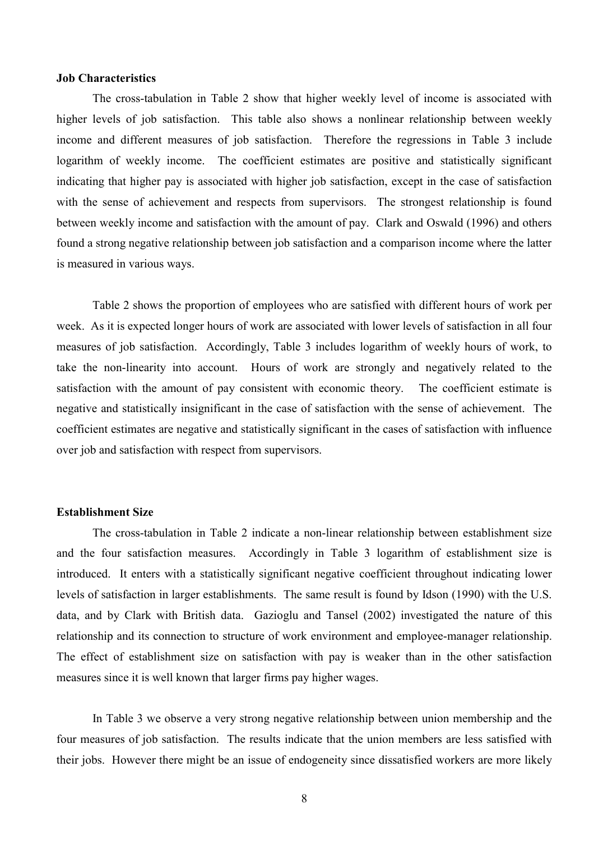### **Job Characteristics**

The cross-tabulation in Table 2 show that higher weekly level of income is associated with higher levels of job satisfaction. This table also shows a nonlinear relationship between weekly income and different measures of job satisfaction. Therefore the regressions in Table 3 include logarithm of weekly income. The coefficient estimates are positive and statistically significant indicating that higher pay is associated with higher job satisfaction, except in the case of satisfaction with the sense of achievement and respects from supervisors. The strongest relationship is found between weekly income and satisfaction with the amount of pay. Clark and Oswald (1996) and others found a strong negative relationship between job satisfaction and a comparison income where the latter is measured in various ways.

Table 2 shows the proportion of employees who are satisfied with different hours of work per week. As it is expected longer hours of work are associated with lower levels of satisfaction in all four measures of job satisfaction. Accordingly, Table 3 includes logarithm of weekly hours of work, to take the non-linearity into account. Hours of work are strongly and negatively related to the satisfaction with the amount of pay consistent with economic theory. The coefficient estimate is negative and statistically insignificant in the case of satisfaction with the sense of achievement. The coefficient estimates are negative and statistically significant in the cases of satisfaction with influence over job and satisfaction with respect from supervisors.

### **Establishment Size**

The cross-tabulation in Table 2 indicate a non-linear relationship between establishment size and the four satisfaction measures. Accordingly in Table 3 logarithm of establishment size is introduced. It enters with a statistically significant negative coefficient throughout indicating lower levels of satisfaction in larger establishments. The same result is found by Idson (1990) with the U.S. data, and by Clark with British data. Gazioglu and Tansel (2002) investigated the nature of this relationship and its connection to structure of work environment and employee-manager relationship. The effect of establishment size on satisfaction with pay is weaker than in the other satisfaction measures since it is well known that larger firms pay higher wages.

In Table 3 we observe a very strong negative relationship between union membership and the four measures of job satisfaction. The results indicate that the union members are less satisfied with their jobs. However there might be an issue of endogeneity since dissatisfied workers are more likely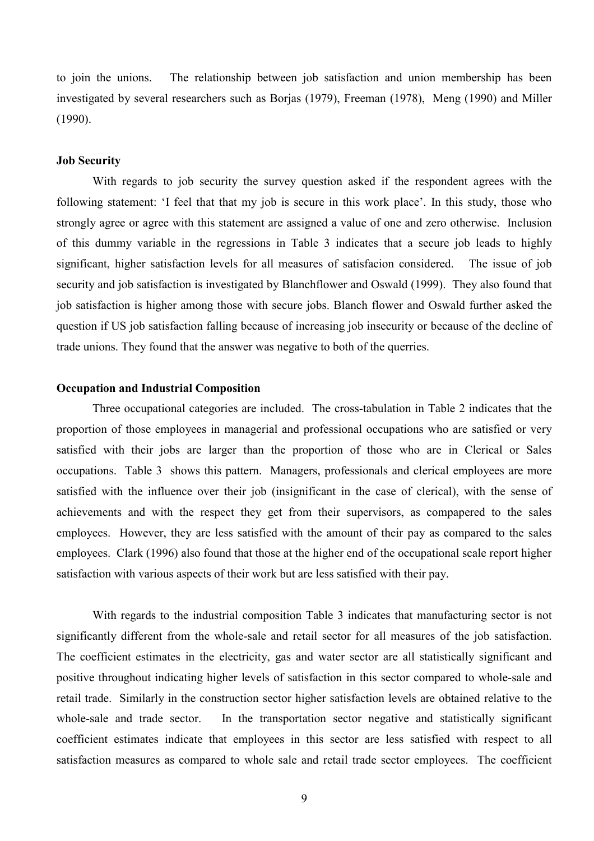to join the unions. The relationship between job satisfaction and union membership has been investigated by several researchers such as Borjas (1979), Freeman (1978), Meng (1990) and Miller (1990).

### **Job Security**

With regards to job security the survey question asked if the respondent agrees with the following statement: 'I feel that that my job is secure in this work place'. In this study, those who strongly agree or agree with this statement are assigned a value of one and zero otherwise. Inclusion of this dummy variable in the regressions in Table 3 indicates that a secure job leads to highly significant, higher satisfaction levels for all measures of satisfacion considered. The issue of job security and job satisfaction is investigated by Blanchflower and Oswald (1999). They also found that job satisfaction is higher among those with secure jobs. Blanch flower and Oswald further asked the question if US job satisfaction falling because of increasing job insecurity or because of the decline of trade unions. They found that the answer was negative to both of the querries.

### **Occupation and Industrial Composition**

Three occupational categories are included. The cross-tabulation in Table 2 indicates that the proportion of those employees in managerial and professional occupations who are satisfied or very satisfied with their jobs are larger than the proportion of those who are in Clerical or Sales occupations. Table 3 shows this pattern. Managers, professionals and clerical employees are more satisfied with the influence over their job (insignificant in the case of clerical), with the sense of achievements and with the respect they get from their supervisors, as compapered to the sales employees. However, they are less satisfied with the amount of their pay as compared to the sales employees. Clark (1996) also found that those at the higher end of the occupational scale report higher satisfaction with various aspects of their work but are less satisfied with their pay.

With regards to the industrial composition Table 3 indicates that manufacturing sector is not significantly different from the whole-sale and retail sector for all measures of the job satisfaction. The coefficient estimates in the electricity, gas and water sector are all statistically significant and positive throughout indicating higher levels of satisfaction in this sector compared to whole-sale and retail trade. Similarly in the construction sector higher satisfaction levels are obtained relative to the whole-sale and trade sector. In the transportation sector negative and statistically significant coefficient estimates indicate that employees in this sector are less satisfied with respect to all satisfaction measures as compared to whole sale and retail trade sector employees. The coefficient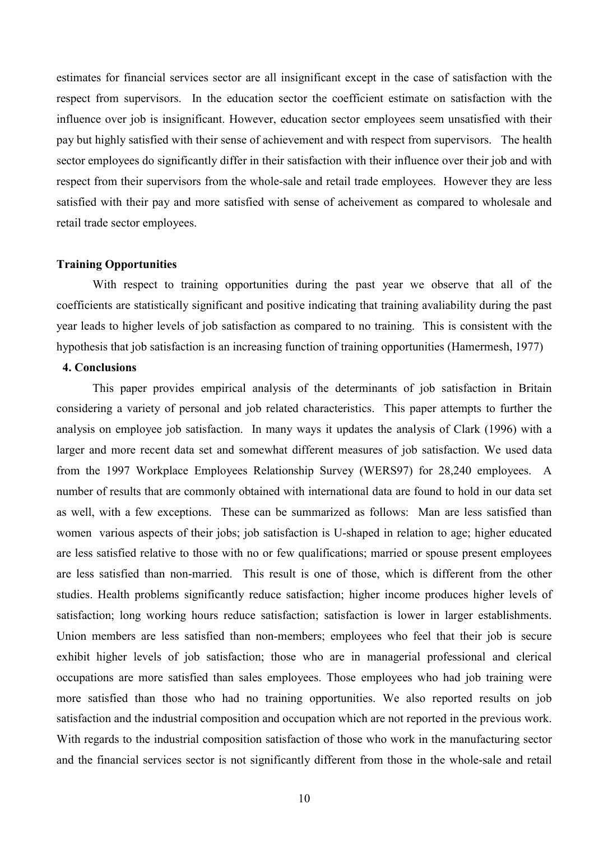estimates for financial services sector are all insignificant except in the case of satisfaction with the respect from supervisors. In the education sector the coefficient estimate on satisfaction with the influence over job is insignificant. However, education sector employees seem unsatisfied with their pay but highly satisfied with their sense of achievement and with respect from supervisors. The health sector employees do significantly differ in their satisfaction with their influence over their job and with respect from their supervisors from the whole-sale and retail trade employees. However they are less satisfied with their pay and more satisfied with sense of acheivement as compared to wholesale and retail trade sector employees.

### **Training Opportunities**

With respect to training opportunities during the past year we observe that all of the coefficients are statistically significant and positive indicating that training avaliability during the past year leads to higher levels of job satisfaction as compared to no training. This is consistent with the hypothesis that job satisfaction is an increasing function of training opportunities (Hamermesh, 1977)

### **4. Conclusions**

This paper provides empirical analysis of the determinants of job satisfaction in Britain considering a variety of personal and job related characteristics. This paper attempts to further the analysis on employee job satisfaction. In many ways it updates the analysis of Clark (1996) with a larger and more recent data set and somewhat different measures of job satisfaction. We used data from the 1997 Workplace Employees Relationship Survey (WERS97) for 28,240 employees. A number of results that are commonly obtained with international data are found to hold in our data set as well, with a few exceptions. These can be summarized as follows: Man are less satisfied than women various aspects of their jobs; job satisfaction is U-shaped in relation to age; higher educated are less satisfied relative to those with no or few qualifications; married or spouse present employees are less satisfied than non-married. This result is one of those, which is different from the other studies. Health problems significantly reduce satisfaction; higher income produces higher levels of satisfaction; long working hours reduce satisfaction; satisfaction is lower in larger establishments. Union members are less satisfied than non-members; employees who feel that their job is secure exhibit higher levels of job satisfaction; those who are in managerial professional and clerical occupations are more satisfied than sales employees. Those employees who had job training were more satisfied than those who had no training opportunities. We also reported results on job satisfaction and the industrial composition and occupation which are not reported in the previous work. With regards to the industrial composition satisfaction of those who work in the manufacturing sector and the financial services sector is not significantly different from those in the whole-sale and retail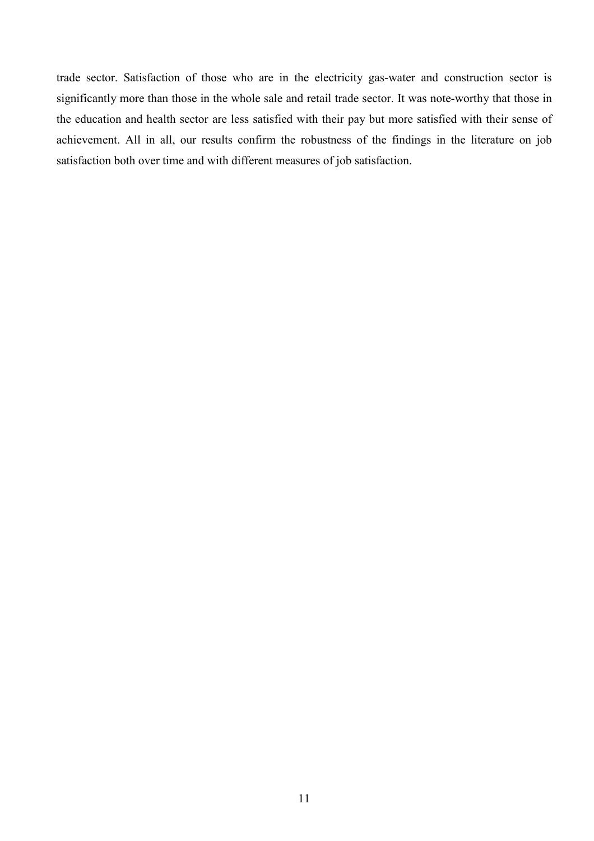trade sector. Satisfaction of those who are in the electricity gas-water and construction sector is significantly more than those in the whole sale and retail trade sector. It was note-worthy that those in the education and health sector are less satisfied with their pay but more satisfied with their sense of achievement. All in all, our results confirm the robustness of the findings in the literature on job satisfaction both over time and with different measures of job satisfaction.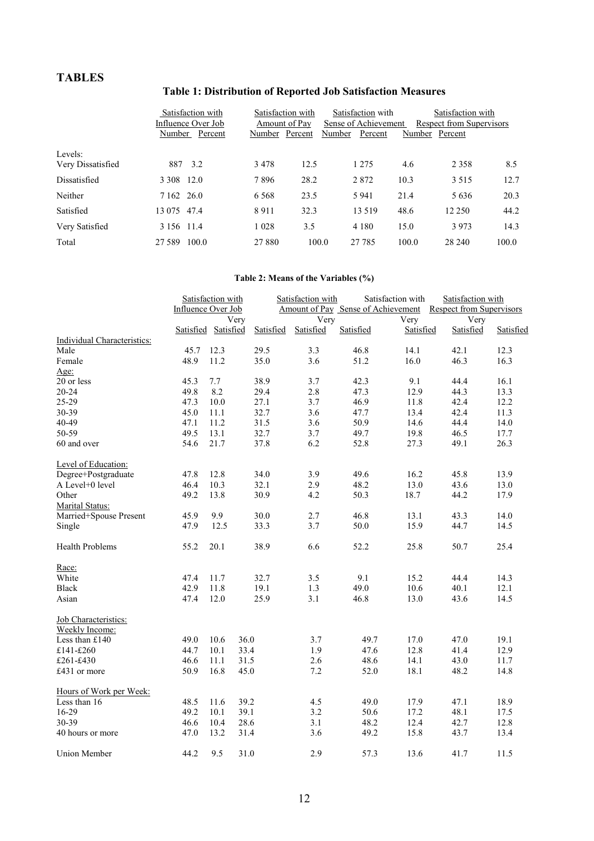# **TABLES**

# **Table 1: Distribution of Reported Job Satisfaction Measures**

|                   | Satisfaction with  | Satisfaction with | Satisfaction with    | Satisfaction with        |  |  |
|-------------------|--------------------|-------------------|----------------------|--------------------------|--|--|
|                   | Influence Over Job | Amount of Pay     | Sense of Achievement | Respect from Supervisors |  |  |
|                   | Percent<br>Number  | Percent<br>Number | Number<br>Percent    | Percent<br>Number        |  |  |
| Levels:           |                    |                   |                      |                          |  |  |
| Very Dissatisfied | 3.2<br>887         | 3478<br>12.5      | 1 2 7 5              | 4.6<br>2 3 5 8<br>8.5    |  |  |
| Dissatisfied      | 3 3 0 8 1 2 .0     | 7896<br>28.2      | 2872<br>10.3         | 12.7<br>3 5 1 5          |  |  |
| Neither           | 7 162 26.0         | 6 5 6 8<br>23.5   | 5 9 4 1<br>21.4      | 20.3<br>5 6 3 6          |  |  |
| Satisfied         | 13 075 47.4        | 8911<br>32.3      | 48.6<br>13 5 19      | 44.2<br>12 250           |  |  |
| Very Satisfied    | 3 156 11.4         | 1 0 2 8<br>3.5    | 4 1 8 0<br>15.0      | 14.3<br>3973             |  |  |
| Total             | 100.0<br>27.589    | 27 880            | 100.0<br>27 785      | 100.0<br>100.0<br>28 240 |  |  |

# **Table 2: Means of the Variables (%)**

|                                               | Satisfaction with  |                     |           | Satisfaction with |           | Satisfaction with                                           | Satisfaction with |           |  |
|-----------------------------------------------|--------------------|---------------------|-----------|-------------------|-----------|-------------------------------------------------------------|-------------------|-----------|--|
|                                               | Influence Over Job |                     |           |                   |           | Amount of Pay Sense of Achievement Respect from Supervisors |                   |           |  |
|                                               | Very               |                     |           | Very              |           | Very                                                        | Very              |           |  |
|                                               |                    | Satisfied Satisfied | Satisfied | Satisfied         | Satisfied | Satisfied                                                   | Satisfied         | Satisfied |  |
| Individual Characteristics:                   |                    |                     |           |                   |           |                                                             |                   |           |  |
| Male                                          | 45.7               | 12.3                | 29.5      | 3.3               | 46.8      | 14.1                                                        | 42.1              | 12.3      |  |
| Female                                        | 48.9               | 11.2                | 35.0      | 3.6               | 51.2      | 16.0                                                        | 46.3              | 16.3      |  |
| Age:                                          |                    |                     |           |                   |           |                                                             |                   |           |  |
| 20 or less                                    | 45.3               | 7.7                 | 38.9      | 3.7               | 42.3      | 9.1                                                         | 44.4              | 16.1      |  |
| $20 - 24$                                     | 49.8               | 8.2                 | 29.4      | 2.8               | 47.3      | 12.9                                                        | 44.3              | 13.3      |  |
| 25-29                                         | 47.3               | 10.0                | 27.1      | 3.7               | 46.9      | 11.8                                                        | 42.4              | 12.2      |  |
| 30-39                                         | 45.0               | 11.1                | 32.7      | 3.6               | 47.7      | 13.4                                                        | 42.4              | 11.3      |  |
| 40-49                                         | 47.1               | 11.2                | 31.5      | 3.6               | 50.9      | 14.6                                                        | 44.4              | 14.0      |  |
| 50-59                                         | 49.5               | 13.1                | 32.7      | 3.7               | 49.7      | 19.8                                                        | 46.5              | 17.7      |  |
| 60 and over                                   | 54.6               | 21.7                | 37.8      | 6.2               | 52.8      | 27.3                                                        | 49.1              | 26.3      |  |
| Level of Education:                           |                    |                     |           |                   |           |                                                             |                   |           |  |
| Degree+Postgraduate                           | 47.8               | 12.8                | 34.0      | 3.9               | 49.6      | 16.2                                                        | 45.8              | 13.9      |  |
| A Level+0 level                               | 46.4               | 10.3                | 32.1      | 2.9               | 48.2      | 13.0                                                        | 43.6              | 13.0      |  |
| Other                                         | 49.2               | 13.8                | 30.9      | 4.2               | 50.3      | 18.7                                                        | 44.2              | 17.9      |  |
| Marital Status:                               |                    |                     |           |                   |           |                                                             |                   |           |  |
| Married+Spouse Present                        | 45.9               | 9.9                 | 30.0      | 2.7               | 46.8      | 13.1                                                        | 43.3              | 14.0      |  |
| Single                                        | 47.9               | 12.5                | 33.3      | 3.7               | 50.0      | 15.9                                                        | 44.7              | 14.5      |  |
| <b>Health Problems</b>                        | 55.2               | 20.1                | 38.9      | 6.6               | 52.2      | 25.8                                                        | 50.7              | 25.4      |  |
| Race:                                         |                    |                     |           |                   |           |                                                             |                   |           |  |
| White                                         | 47.4               | 11.7                | 32.7      | 3.5               | 9.1       | 15.2                                                        | 44.4              | 14.3      |  |
| <b>Black</b>                                  | 42.9               | 11.8                | 19.1      | 1.3               | 49.0      | 10.6                                                        | 40.1              | 12.1      |  |
| Asian                                         | 47.4               | 12.0                | 25.9      | 3.1               | 46.8      | 13.0                                                        | 43.6              | 14.5      |  |
| Job Characteristics:<br><b>Weekly Income:</b> |                    |                     |           |                   |           |                                                             |                   |           |  |
| Less than $£140$                              | 49.0               | 10.6                | 36.0      | 3.7               | 49.7      | 17.0                                                        | 47.0              | 19.1      |  |
| £141-£260                                     | 44.7               | 10.1                | 33.4      | 1.9               | 47.6      | 12.8                                                        | 41.4              | 12.9      |  |
| £261-£430                                     | 46.6               | 11.1                | 31.5      | 2.6               | 48.6      | 14.1                                                        | 43.0              | 11.7      |  |
| £431 or more                                  | 50.9               | 16.8                | 45.0      | 7.2               | 52.0      | 18.1                                                        | 48.2              | 14.8      |  |
| Hours of Work per Week:                       |                    |                     |           |                   |           |                                                             |                   |           |  |
| Less than 16                                  | 48.5               | 11.6                | 39.2      | 4.5               | 49.0      | 17.9                                                        | 47.1              | 18.9      |  |
| 16-29                                         | 49.2               | 10.1                | 39.1      | 3.2               | 50.6      | 17.2                                                        | 48.1              | 17.5      |  |
| 30-39                                         | 46.6               | 10.4                | 28.6      | 3.1               | 48.2      | 12.4                                                        | 42.7              | 12.8      |  |
| 40 hours or more                              | 47.0               | 13.2                | 31.4      | 3.6               | 49.2      | 15.8                                                        | 43.7              | 13.4      |  |
| Union Member                                  | 44.2               | 9.5                 | 31.0      | 2.9               | 57.3      | 13.6                                                        | 41.7              | 11.5      |  |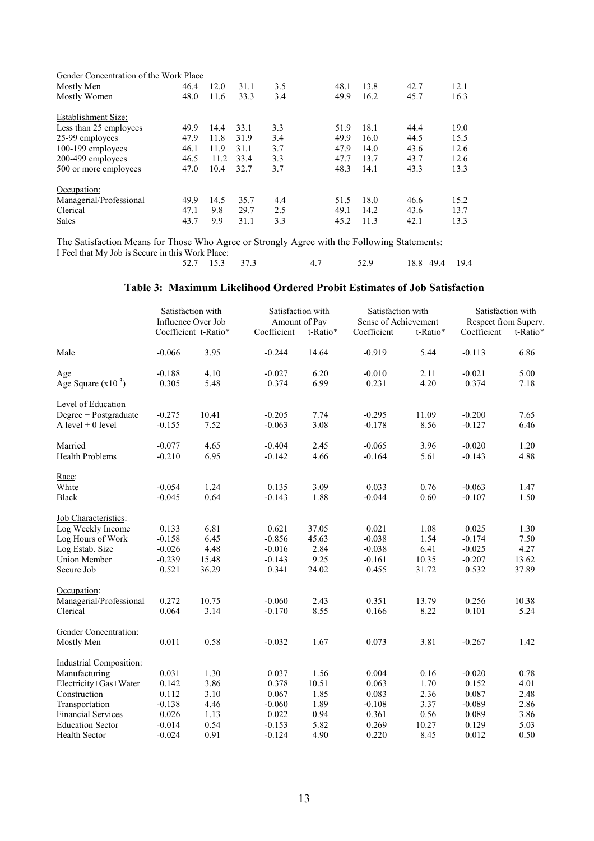| Gender Concentration of the Work Place |      |      |      |     |      |      |      |      |
|----------------------------------------|------|------|------|-----|------|------|------|------|
| Mostly Men                             | 46.4 | 12.0 | 31.1 | 3.5 | 48.1 | 13.8 | 42.7 | 12.1 |
| Mostly Women                           | 48.0 | 11.6 | 33.3 | 3.4 | 49.9 | 16.2 | 45.7 | 16.3 |
| Establishment Size:                    |      |      |      |     |      |      |      |      |
| Less than 25 employees                 | 49.9 | 14.4 | 33.1 | 3.3 | 51.9 | 18.1 | 44.4 | 19.0 |
| 25-99 employees                        | 47.9 | 11.8 | 31.9 | 3.4 | 49.9 | 16.0 | 44.5 | 15.5 |
| 100-199 employees                      | 46.1 | 11.9 | 31.1 | 3.7 | 47.9 | 14.0 | 43.6 | 12.6 |
| 200-499 employees                      | 46.5 | 11.2 | 33.4 | 3.3 | 47.7 | 13.7 | 43.7 | 12.6 |
| 500 or more employees                  | 47.0 | 10.4 | 32.7 | 3.7 | 48.3 | 14.1 | 43.3 | 13.3 |
| Occupation:                            |      |      |      |     |      |      |      |      |
| Managerial/Professional                | 49.9 | 14.5 | 35.7 | 4.4 | 51.5 | 18.0 | 46.6 | 15.2 |
| Clerical                               | 47.1 | 9.8  | 29.7 | 2.5 | 49.1 | 14.2 | 43.6 | 13.7 |
| <b>Sales</b>                           | 43.7 | 9.9  | 31.1 | 3.3 | 45.2 | 11.3 | 42.1 | 13.3 |

The Satisfaction Means for Those Who Agree or Strongly Agree with the Following Statements: I Feel that My Job is Secure in this Work Place:<br>52.7 15.3 52.7 15.3 37.3 4.7 52.9 18.8 49.4 19.4

### **Table 3: Maximum Likelihood Ordered Probit Estimates of Job Satisfaction**

|                                | Satisfaction with<br>Influence Over Job |                      | Satisfaction with<br>Amount of Pay |          | Satisfaction with<br>Sense of Achievement |          | Satisfaction with<br>Respect from Superv. |          |
|--------------------------------|-----------------------------------------|----------------------|------------------------------------|----------|-------------------------------------------|----------|-------------------------------------------|----------|
|                                |                                         | Coefficient t-Ratio* | Coefficient                        | t-Ratio* | Coefficient                               | t-Ratio* | Coefficient                               | t-Ratio* |
| Male                           | $-0.066$                                | 3.95                 | $-0.244$                           | 14.64    | $-0.919$                                  | 5.44     | $-0.113$                                  | 6.86     |
| Age                            | $-0.188$                                | 4.10                 | $-0.027$                           | 6.20     | $-0.010$                                  | 2.11     | $-0.021$                                  | 5.00     |
| Age Square $(x10^{-3})$        | 0.305                                   | 5.48                 | 0.374                              | 6.99     | 0.231                                     | 4.20     | 0.374                                     | 7.18     |
| Level of Education             |                                         |                      |                                    |          |                                           |          |                                           |          |
| Degree + Postgraduate          | $-0.275$                                | 10.41                | $-0.205$                           | 7.74     | $-0.295$                                  | 11.09    | $-0.200$                                  | 7.65     |
| A level $+0$ level             | $-0.155$                                | 7.52                 | $-0.063$                           | 3.08     | $-0.178$                                  | 8.56     | $-0.127$                                  | 6.46     |
| Married                        | $-0.077$                                | 4.65                 | $-0.404$                           | 2.45     | $-0.065$                                  | 3.96     | $-0.020$                                  | 1.20     |
| <b>Health Problems</b>         | $-0.210$                                | 6.95                 | $-0.142$                           | 4.66     | $-0.164$                                  | 5.61     | $-0.143$                                  | 4.88     |
| Race:                          |                                         |                      |                                    |          |                                           |          |                                           |          |
| White                          | $-0.054$                                | 1.24                 | 0.135                              | 3.09     | 0.033                                     | 0.76     | $-0.063$                                  | 1.47     |
| <b>Black</b>                   | $-0.045$                                | 0.64                 | $-0.143$                           | 1.88     | $-0.044$                                  | 0.60     | $-0.107$                                  | 1.50     |
| Job Characteristics:           |                                         |                      |                                    |          |                                           |          |                                           |          |
| Log Weekly Income              | 0.133                                   | 6.81                 | 0.621                              | 37.05    | 0.021                                     | 1.08     | 0.025                                     | 1.30     |
| Log Hours of Work              | $-0.158$                                | 6.45                 | $-0.856$                           | 45.63    | $-0.038$                                  | 1.54     | $-0.174$                                  | 7.50     |
| Log Estab. Size                | $-0.026$                                | 4.48                 | $-0.016$                           | 2.84     | $-0.038$                                  | 6.41     | $-0.025$                                  | 4.27     |
| <b>Union Member</b>            | $-0.239$                                | 15.48                | $-0.143$                           | 9.25     | $-0.161$                                  | 10.35    | $-0.207$                                  | 13.62    |
| Secure Job                     | 0.521                                   | 36.29                | 0.341                              | 24.02    | 0.455                                     | 31.72    | 0.532                                     | 37.89    |
| Occupation:                    |                                         |                      |                                    |          |                                           |          |                                           |          |
| Managerial/Professional        | 0.272                                   | 10.75                | $-0.060$                           | 2.43     | 0.351                                     | 13.79    | 0.256                                     | 10.38    |
| Clerical                       | 0.064                                   | 3.14                 | $-0.170$                           | 8.55     | 0.166                                     | 8.22     | 0.101                                     | 5.24     |
| <b>Gender Concentration:</b>   |                                         |                      |                                    |          |                                           |          |                                           |          |
| Mostly Men                     | 0.011                                   | 0.58                 | $-0.032$                           | 1.67     | 0.073                                     | 3.81     | $-0.267$                                  | 1.42     |
| <b>Industrial Composition:</b> |                                         |                      |                                    |          |                                           |          |                                           |          |
| Manufacturing                  | 0.031                                   | 1.30                 | 0.037                              | 1.56     | 0.004                                     | 0.16     | $-0.020$                                  | 0.78     |
| Electricity+Gas+Water          | 0.142                                   | 3.86                 | 0.378                              | 10.51    | 0.063                                     | 1.70     | 0.152                                     | 4.01     |
| Construction                   | 0.112                                   | 3.10                 | 0.067                              | 1.85     | 0.083                                     | 2.36     | 0.087                                     | 2.48     |
| Transportation                 | $-0.138$                                | 4.46                 | $-0.060$                           | 1.89     | $-0.108$                                  | 3.37     | $-0.089$                                  | 2.86     |
| <b>Financial Services</b>      | 0.026                                   | 1.13                 | 0.022                              | 0.94     | 0.361                                     | 0.56     | 0.089                                     | 3.86     |
| <b>Education Sector</b>        | $-0.014$                                | 0.54                 | $-0.153$                           | 5.82     | 0.269                                     | 10.27    | 0.129                                     | 5.03     |
| Health Sector                  | $-0.024$                                | 0.91                 | $-0.124$                           | 4.90     | 0.220                                     | 8.45     | 0.012                                     | 0.50     |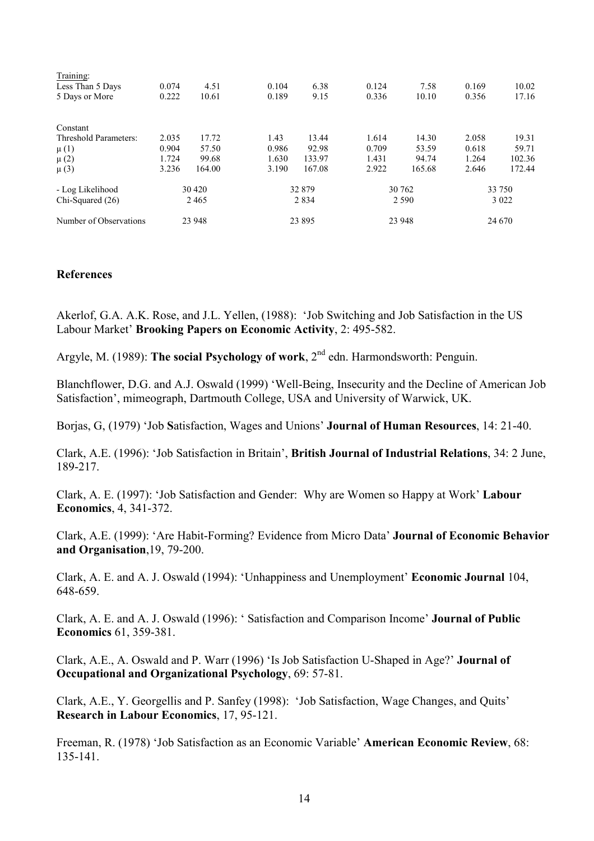| Training:              |         |        |         |        |         |        |         |        |
|------------------------|---------|--------|---------|--------|---------|--------|---------|--------|
| Less Than 5 Days       | 0.074   | 4.51   | 0.104   | 6.38   | 0.124   | 7.58   | 0.169   | 10.02  |
| 5 Days or More         | 0.222   | 10.61  | 0.189   | 9.15   | 0.336   | 10.10  | 0.356   | 17.16  |
| Constant               |         |        |         |        |         |        |         |        |
| Threshold Parameters:  | 2.035   | 17.72  | 1.43    | 13.44  | 1.614   | 14.30  | 2.058   | 19.31  |
| $\mu$ (1)              | 0.904   | 57.50  | 0.986   | 92.98  | 0.709   | 53.59  | 0.618   | 59.71  |
| $\mu(2)$               | 1.724   | 99.68  | 1.630   | 133.97 | 1.431   | 94.74  | 1.264   | 102.36 |
| $\mu$ (3)              | 3.236   | 164.00 | 3.190   | 167.08 | 2.922   | 165.68 | 2.646   | 172.44 |
| - Log Likelihood       | 30 4 20 |        | 32879   |        | 30 762  |        | 33 750  |        |
| Chi-Squared (26)       | 2465    |        | 2 8 3 4 |        | 2 5 9 0 |        | 3 0 2 2 |        |
| Number of Observations | 23 948  |        | 23 8 95 |        |         | 23 948 | 24 670  |        |

### **References**

Akerlof, G.A. A.K. Rose, and J.L. Yellen, (1988): 'Job Switching and Job Satisfaction in the US Labour Market' **Brooking Papers on Economic Activity**, 2: 495-582.

Argyle, M. (1989): **The social Psychology of work**, 2nd edn. Harmondsworth: Penguin.

Blanchflower, D.G. and A.J. Oswald (1999) 'Well-Being, Insecurity and the Decline of American Job Satisfaction', mimeograph, Dartmouth College, USA and University of Warwick, UK.

Borjas, G, (1979) 'Job **S**atisfaction, Wages and Unions' **Journal of Human Resources**, 14: 21-40.

Clark, A.E. (1996): 'Job Satisfaction in Britain', **British Journal of Industrial Relations**, 34: 2 June, 189-217.

Clark, A. E. (1997): 'Job Satisfaction and Gender: Why are Women so Happy at Work' **Labour Economics**, 4, 341-372.

Clark, A.E. (1999): 'Are Habit-Forming? Evidence from Micro Data' **Journal of Economic Behavior and Organisation**,19, 79-200.

Clark, A. E. and A. J. Oswald (1994): 'Unhappiness and Unemployment' **Economic Journal** 104, 648-659.

Clark, A. E. and A. J. Oswald (1996): ' Satisfaction and Comparison Income' **Journal of Public Economics** 61, 359-381.

Clark, A.E., A. Oswald and P. Warr (1996) 'Is Job Satisfaction U-Shaped in Age?' **Journal of Occupational and Organizational Psychology**, 69: 57-81.

Clark, A.E., Y. Georgellis and P. Sanfey (1998): 'Job Satisfaction, Wage Changes, and Quits' **Research in Labour Economics**, 17, 95-121.

Freeman, R. (1978) 'Job Satisfaction as an Economic Variable' **American Economic Review**, 68: 135-141.